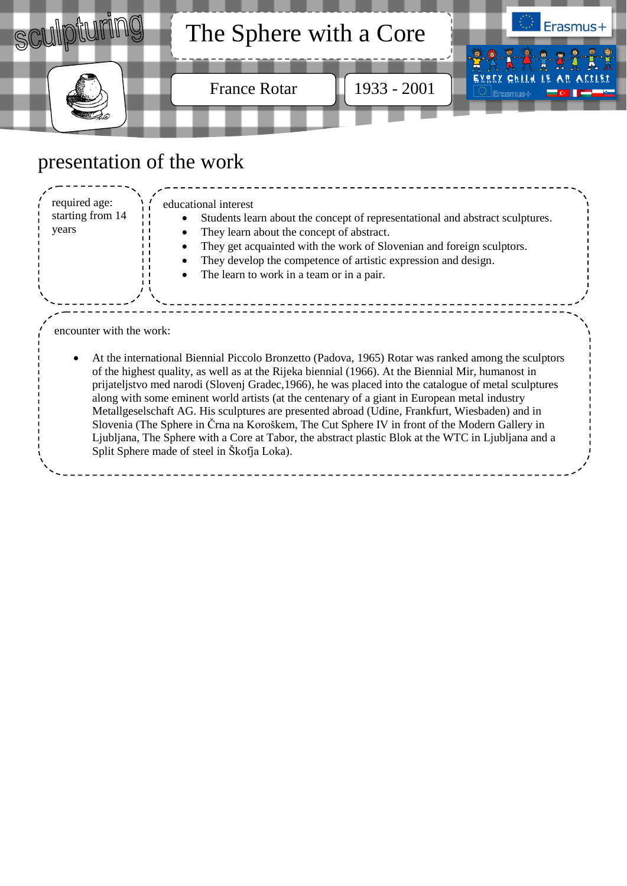

## presentation of the work

| required age:<br>starting from 14<br>years | educational interest<br>Students learn about the concept of representational and abstract sculptures.<br>They learn about the concept of abstract.<br>They get acquainted with the work of Slovenian and foreign sculptors.<br>They develop the competence of artistic expression and design.<br>The learn to work in a team or in a pair.                                                                                                                                                                                                                                                                                                                                                                                                                                   |  |
|--------------------------------------------|------------------------------------------------------------------------------------------------------------------------------------------------------------------------------------------------------------------------------------------------------------------------------------------------------------------------------------------------------------------------------------------------------------------------------------------------------------------------------------------------------------------------------------------------------------------------------------------------------------------------------------------------------------------------------------------------------------------------------------------------------------------------------|--|
| encounter with the work:                   |                                                                                                                                                                                                                                                                                                                                                                                                                                                                                                                                                                                                                                                                                                                                                                              |  |
|                                            | At the international Biennial Piccolo Bronzetto (Padova, 1965) Rotar was ranked among the sculptors<br>of the highest quality, as well as at the Rijeka biennial (1966). At the Biennial Mir, humanost in<br>prijateljstvo med narodi (Slovenj Gradec, 1966), he was placed into the catalogue of metal sculptures<br>along with some eminent world artists (at the centenary of a giant in European metal industry<br>Metallgeselschaft AG. His sculptures are presented abroad (Udine, Frankfurt, Wiesbaden) and in<br>Slovenia (The Sphere in Črna na Koroškem, The Cut Sphere IV in front of the Modern Gallery in<br>Ljubljana, The Sphere with a Core at Tabor, the abstract plastic Blok at the WTC in Ljubljana and a<br>Split Sphere made of steel in Škofja Loka). |  |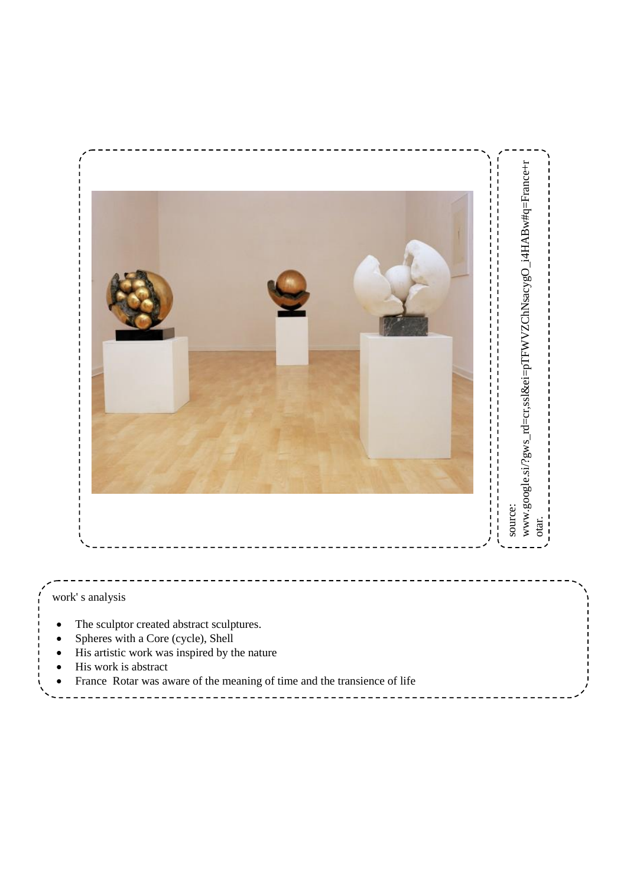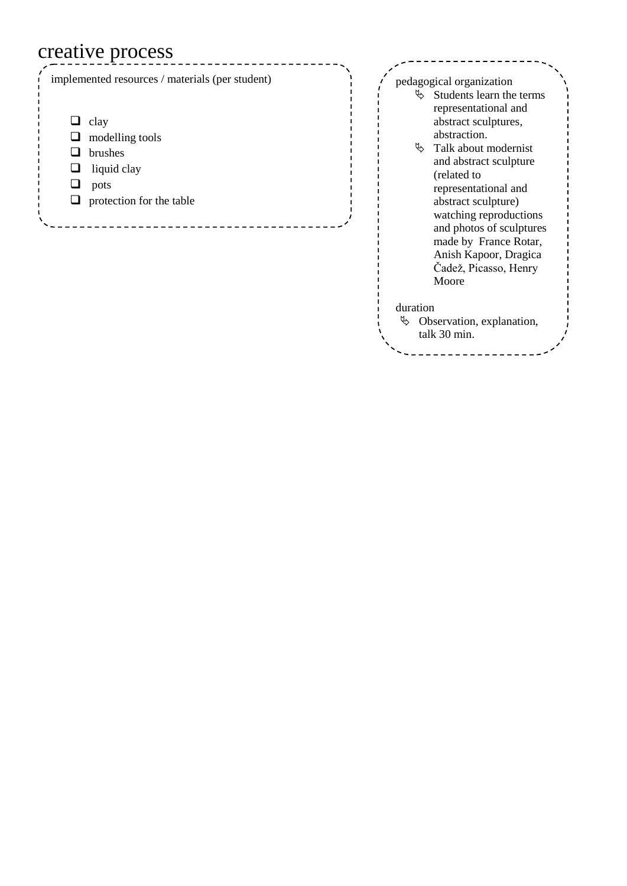## creative process

| implemented resources / materials (per student)                                              | pedagogical organization                                                                                                                                                                                                                                                                                                                                      |
|----------------------------------------------------------------------------------------------|---------------------------------------------------------------------------------------------------------------------------------------------------------------------------------------------------------------------------------------------------------------------------------------------------------------------------------------------------------------|
| clay<br>modelling tools<br><b>brushes</b><br>liquid clay<br>pots<br>protection for the table | $\&$ Students learn the terms<br>representational and<br>abstract sculptures,<br>abstraction.<br>Ą,<br>Talk about modernist<br>and abstract sculpture<br>(related to<br>representational and<br>abstract sculpture)<br>watching reproductions<br>and photos of sculptures<br>made by France Rotar,<br>Anish Kapoor, Dragica<br>Čadež, Picasso, Henry<br>Moore |
|                                                                                              | duration                                                                                                                                                                                                                                                                                                                                                      |

 $\upphi$  Observation, explanation,

talk 30 min .

<u>---------</u>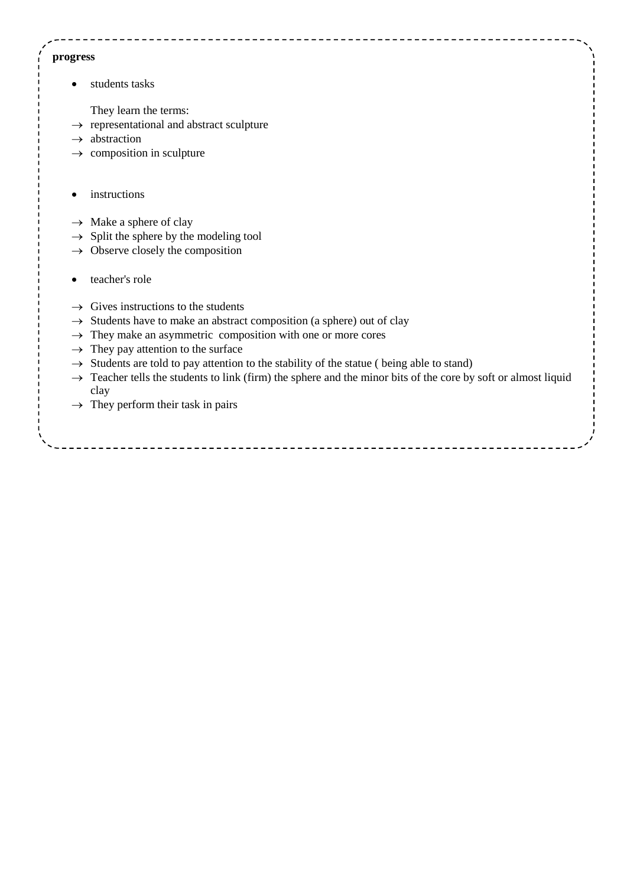## **progress**

• students tasks

They learn the terms:

- $\rightarrow$  representational and abstract sculpture
- $\rightarrow$  abstraction
- $\rightarrow$  composition in sculpture
- instructions
- $\rightarrow$  Make a sphere of clay
- $\rightarrow$  Split the sphere by the modeling tool
- $\rightarrow$  Observe closely the composition
- teacher's role
- $\rightarrow$  Gives instructions to the students
- $\rightarrow$  Students have to make an abstract composition (a sphere) out of clay
- $\rightarrow$  They make an asymmetric composition with one or more cores
- $\rightarrow$  They pay attention to the surface
- $\rightarrow$  Students are told to pay attention to the stability of the statue ( being able to stand)
- $\rightarrow$  Teacher tells the students to link (firm) the sphere and the minor bits of the core by soft or almost liquid clay
- $\rightarrow$  They perform their task in pairs